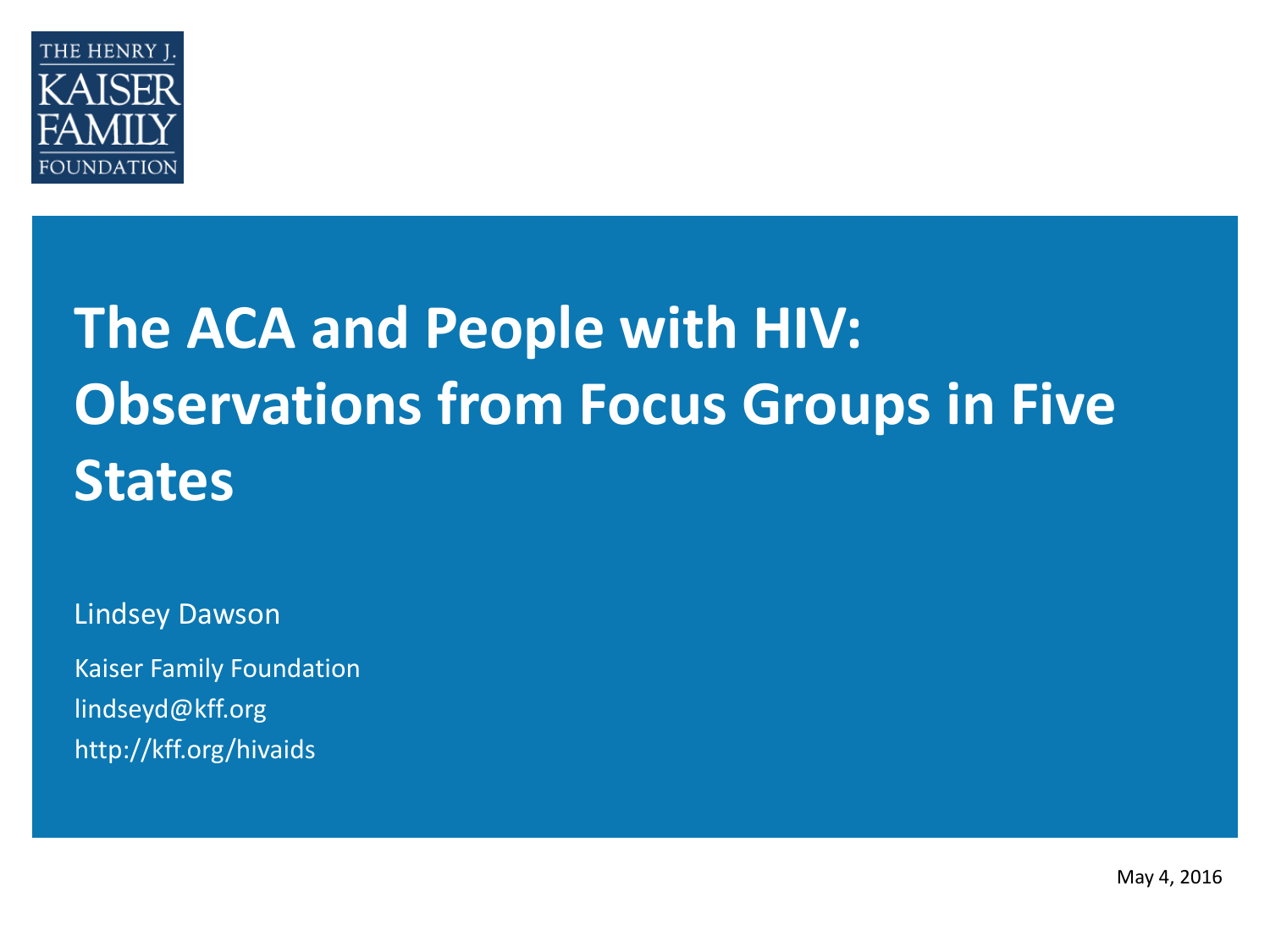

# **The ACA and People with HIV: Observations from Focus Groups in Five States**

Lindsey Dawson

Kaiser Family Foundation lindseyd@kff.org http://kff.org/hivaids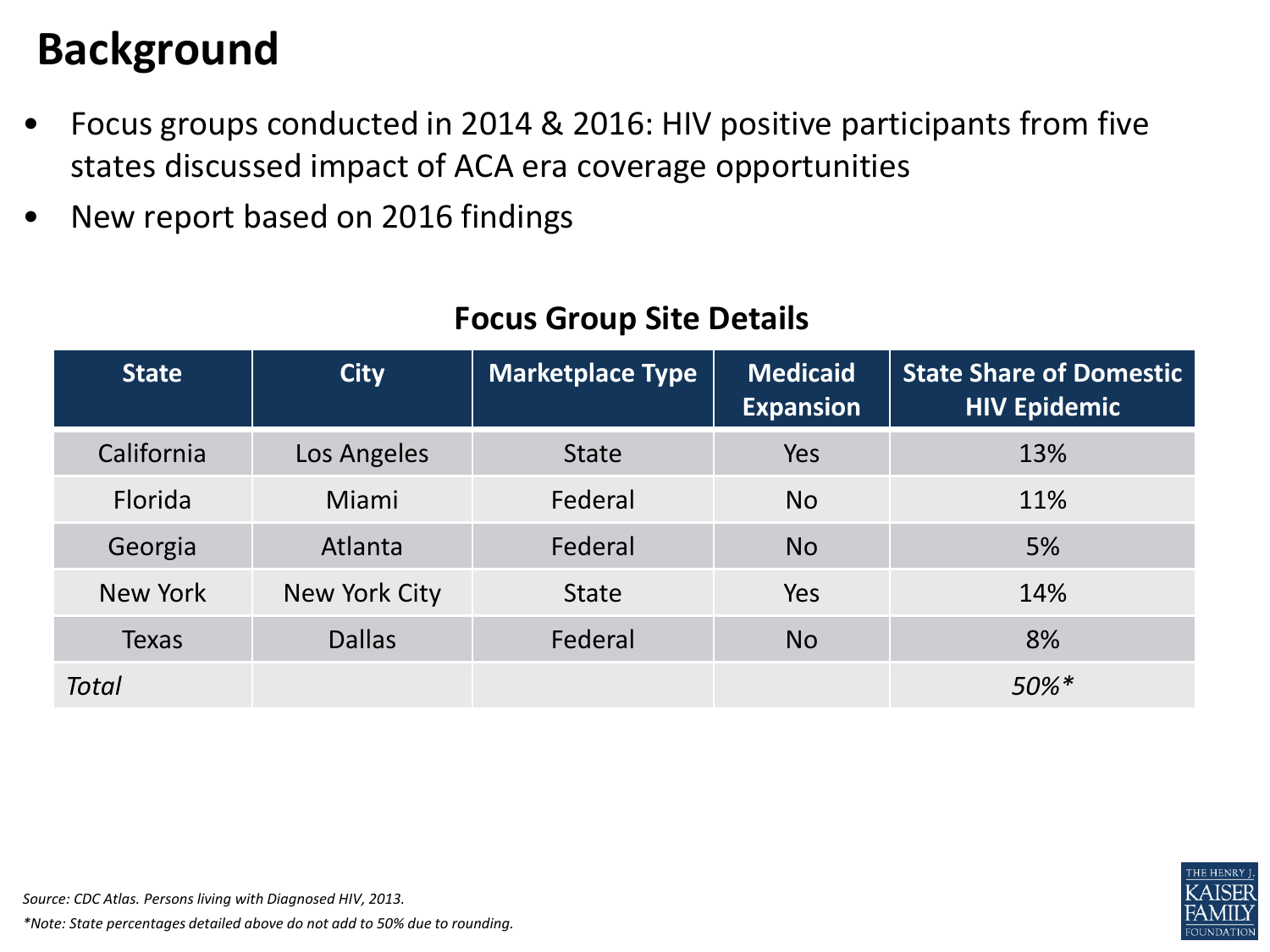#### **Background**

- Focus groups conducted in 2014 & 2016: HIV positive participants from five states discussed impact of ACA era coverage opportunities
- New report based on 2016 findings

| <b>State</b> | <b>City</b>   | <b>Marketplace Type</b> | <b>Medicaid</b><br><b>Expansion</b> | <b>State Share of Domestic</b><br><b>HIV Epidemic</b> |
|--------------|---------------|-------------------------|-------------------------------------|-------------------------------------------------------|
| California   | Los Angeles   | <b>State</b>            | Yes                                 | 13%                                                   |
| Florida      | Miami         | Federal                 | <b>No</b>                           | 11%                                                   |
| Georgia      | Atlanta       | Federal                 | <b>No</b>                           | 5%                                                    |
| New York     | New York City | <b>State</b>            | Yes                                 | 14%                                                   |
| <b>Texas</b> | <b>Dallas</b> | Federal                 | <b>No</b>                           | 8%                                                    |
| <b>Total</b> |               |                         |                                     | $50\%$ <sup>*</sup>                                   |

#### **Focus Group Site Details**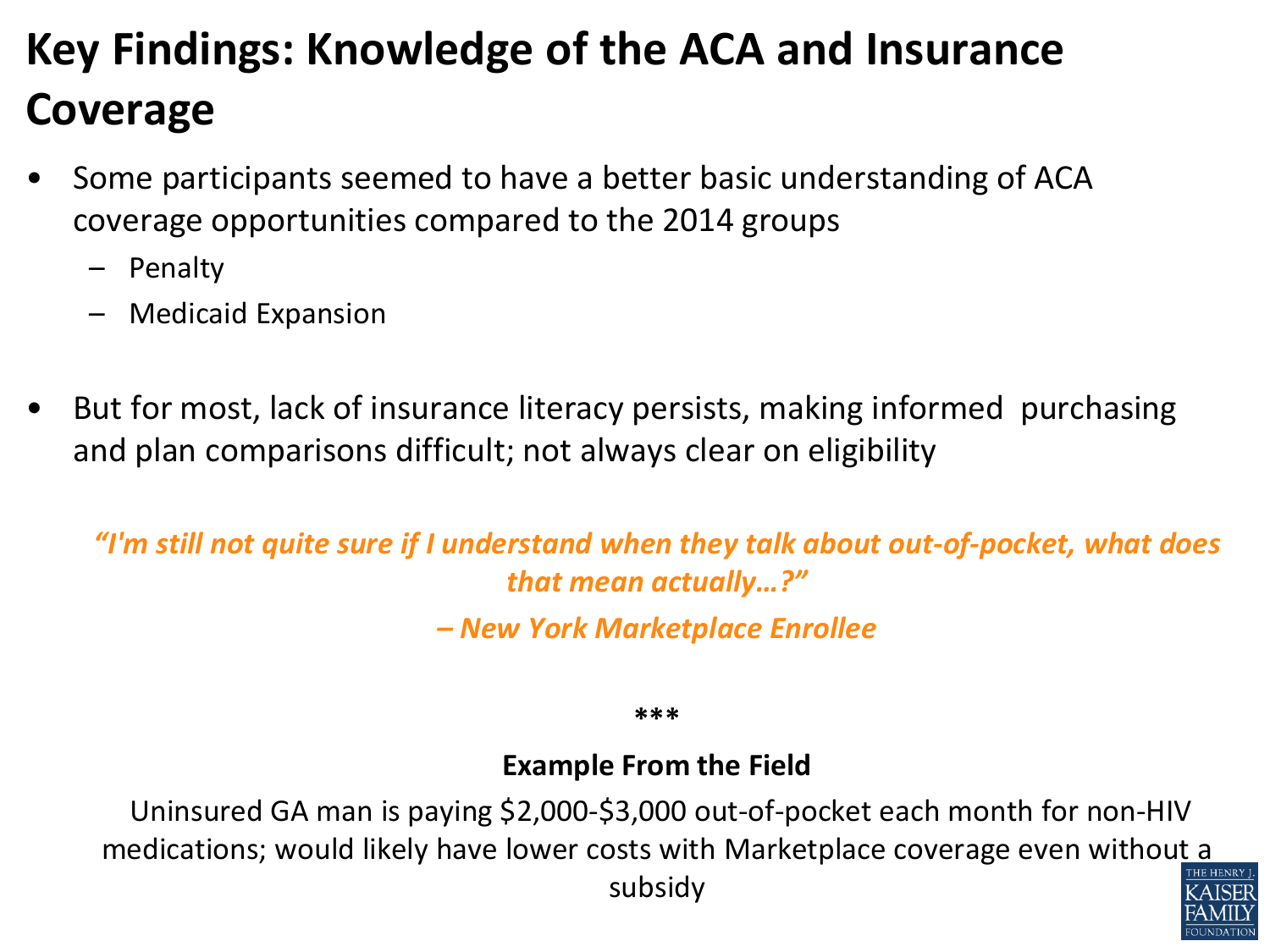## **Key Findings: Knowledge of the ACA and Insurance Coverage**

- Some participants seemed to have a better basic understanding of ACA coverage opportunities compared to the 2014 groups
	- Penalty
	- Medicaid Expansion
- But for most, lack of insurance literacy persists, making informed purchasing and plan comparisons difficult; not always clear on eligibility

*"I'm still not quite sure if I understand when they talk about out-of-pocket, what does that mean actually…?"* 

*– New York Marketplace Enrollee*

**\*\*\***

#### **Example From the Field**

Uninsured GA man is paying \$2,000-\$3,000 out-of-pocket each month for non-HIV medications; would likely have lower costs with Marketplace coverage even without a subsidy

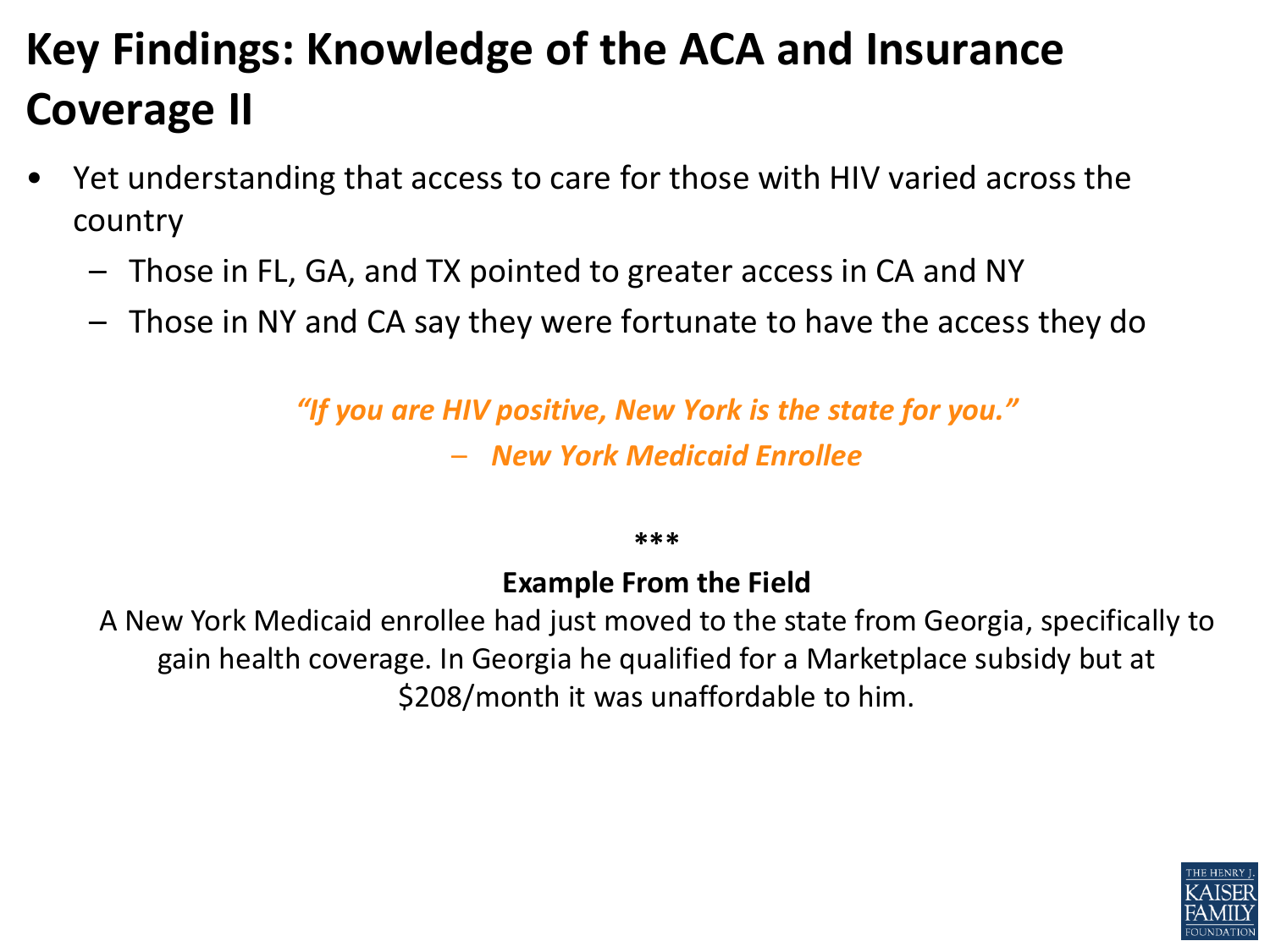### **Key Findings: Knowledge of the ACA and Insurance Coverage II**

- Yet understanding that access to care for those with HIV varied across the country
	- Those in FL, GA, and TX pointed to greater access in CA and NY
	- Those in NY and CA say they were fortunate to have the access they do

*"If you are HIV positive, New York is the state for you."*  – *New York Medicaid Enrollee*

**\*\*\***

#### **Example From the Field**

A New York Medicaid enrollee had just moved to the state from Georgia, specifically to gain health coverage. In Georgia he qualified for a Marketplace subsidy but at \$208/month it was unaffordable to him.

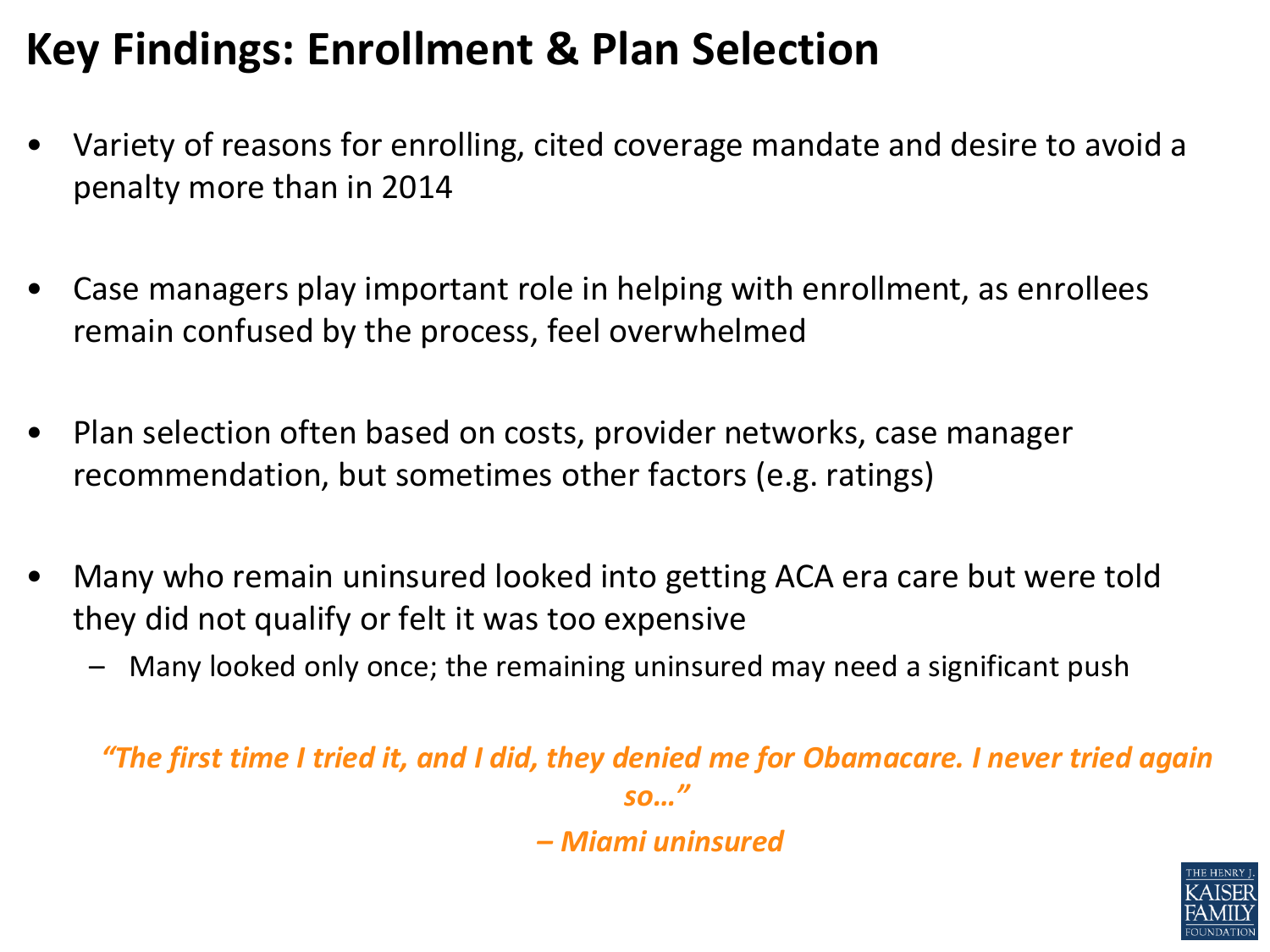### **Key Findings: Enrollment & Plan Selection**

- Variety of reasons for enrolling, cited coverage mandate and desire to avoid a penalty more than in 2014
- Case managers play important role in helping with enrollment, as enrollees remain confused by the process, feel overwhelmed
- Plan selection often based on costs, provider networks, case manager recommendation, but sometimes other factors (e.g. ratings)
- Many who remain uninsured looked into getting ACA era care but were told they did not qualify or felt it was too expensive
	- Many looked only once; the remaining uninsured may need a significant push

*"The first time I tried it, and I did, they denied me for Obamacare. I never tried again so…"*

*– Miami uninsured*

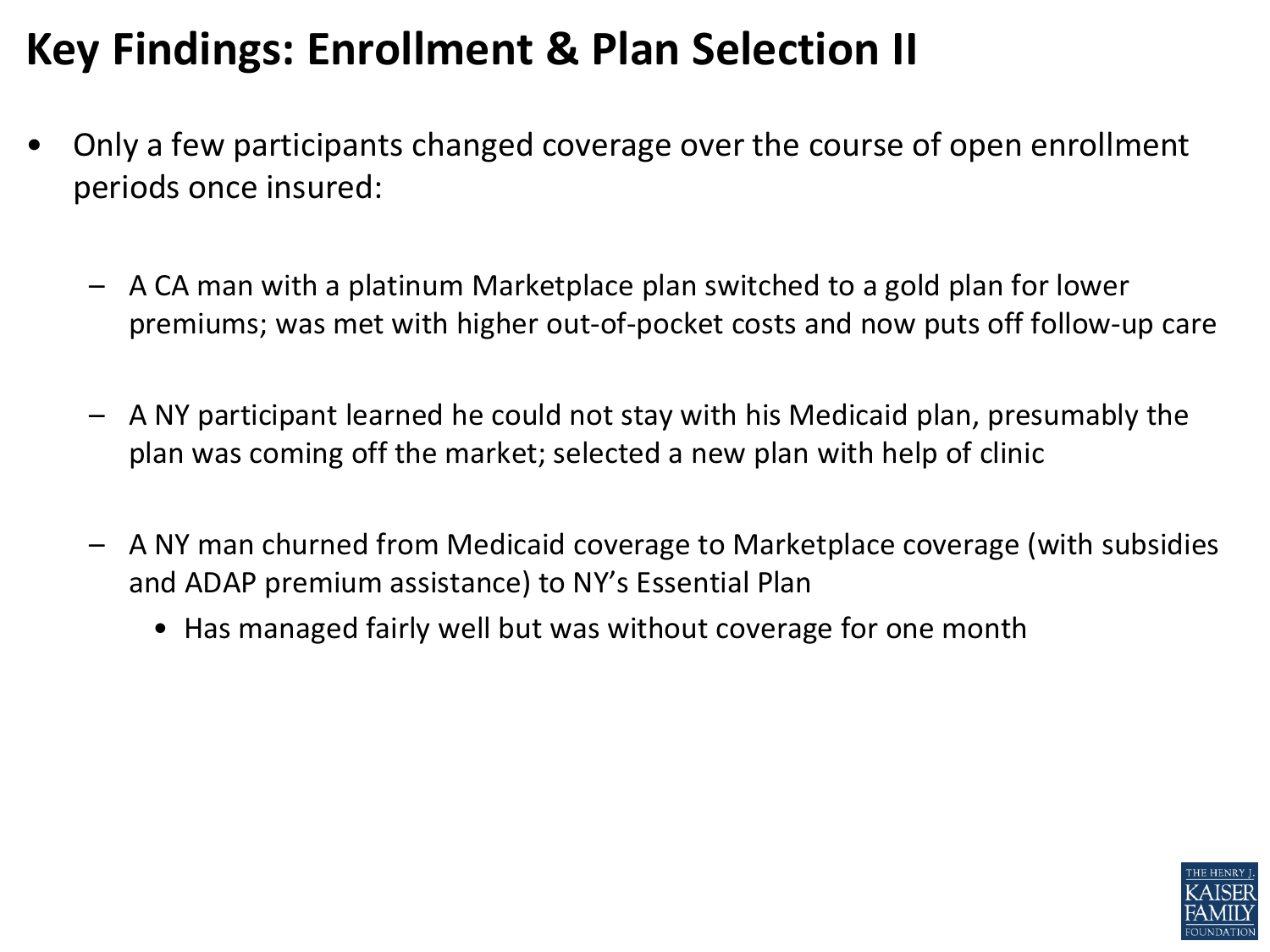### **Key Findings: Enrollment & Plan Selection II**

- Only a few participants changed coverage over the course of open enrollment periods once insured:
	- A CA man with a platinum Marketplace plan switched to a gold plan for lower premiums; was met with higher out-of-pocket costs and now puts off follow-up care
	- A NY participant learned he could not stay with his Medicaid plan, presumably the plan was coming off the market; selected a new plan with help of clinic
	- A NY man churned from Medicaid coverage to Marketplace coverage (with subsidies and ADAP premium assistance) to NY's Essential Plan
		- Has managed fairly well but was without coverage for one month

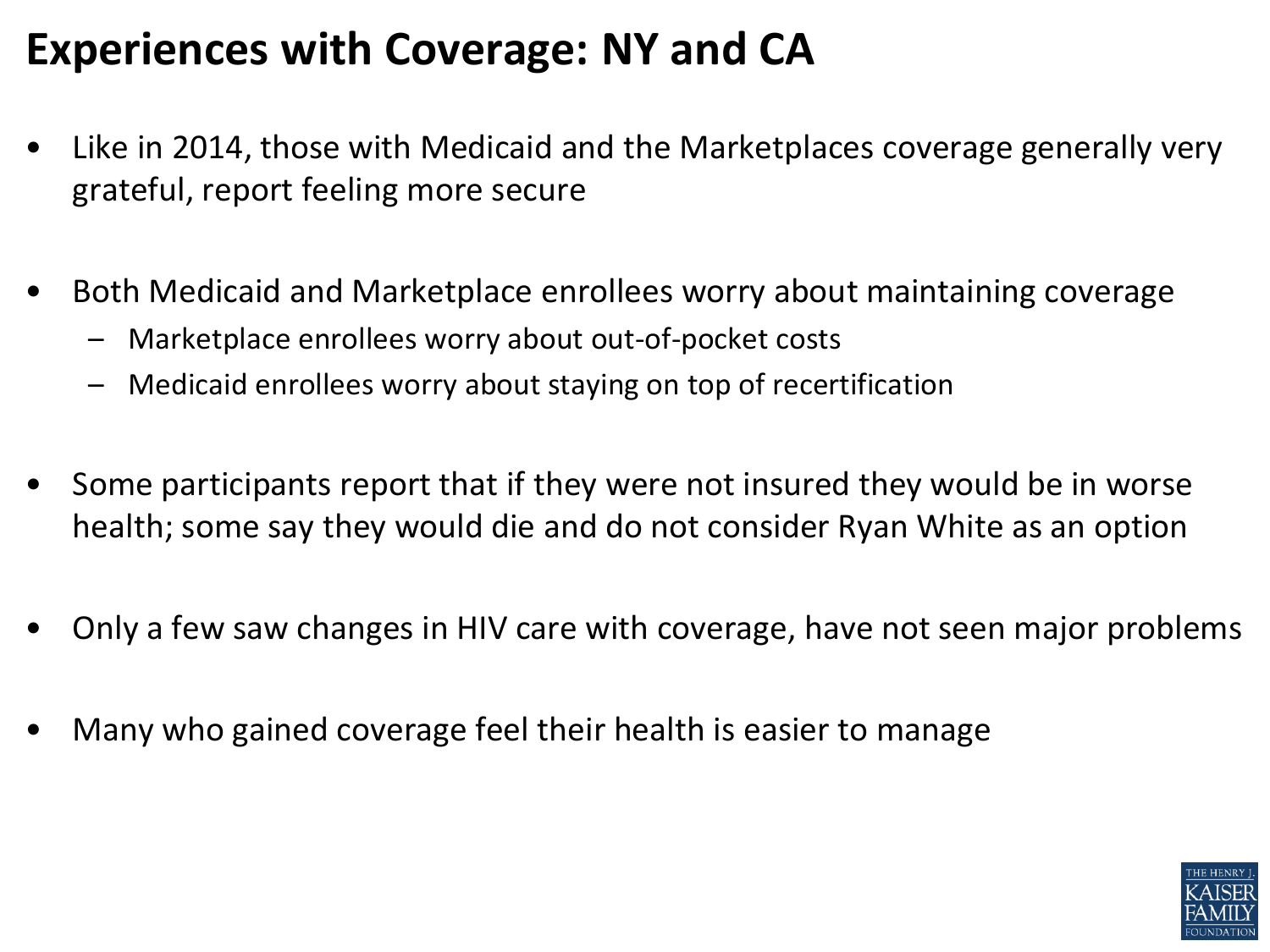#### **Experiences with Coverage: NY and CA**

- Like in 2014, those with Medicaid and the Marketplaces coverage generally very grateful, report feeling more secure
- Both Medicaid and Marketplace enrollees worry about maintaining coverage
	- Marketplace enrollees worry about out-of-pocket costs
	- Medicaid enrollees worry about staying on top of recertification
- Some participants report that if they were not insured they would be in worse health; some say they would die and do not consider Ryan White as an option
- Only a few saw changes in HIV care with coverage, have not seen major problems
- Many who gained coverage feel their health is easier to manage

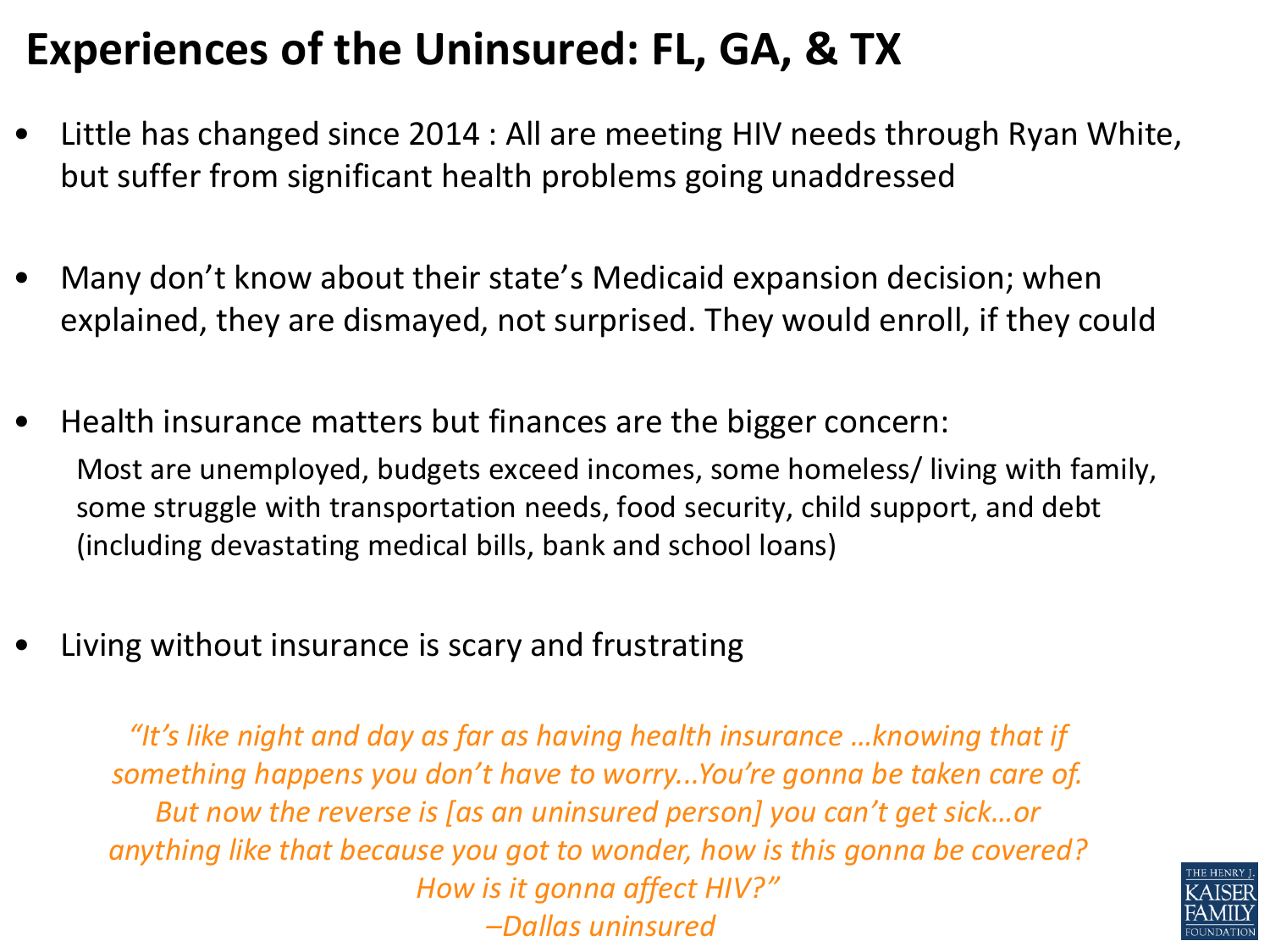### **Experiences of the Uninsured: FL, GA, & TX**

- Little has changed since 2014 : All are meeting HIV needs through Ryan White, but suffer from significant health problems going unaddressed
- Many don't know about their state's Medicaid expansion decision; when explained, they are dismayed, not surprised. They would enroll, if they could
- Health insurance matters but finances are the bigger concern: Most are unemployed, budgets exceed incomes, some homeless/ living with family, some struggle with transportation needs, food security, child support, and debt (including devastating medical bills, bank and school loans)
- Living without insurance is scary and frustrating

*"It's like night and day as far as having health insurance …knowing that if something happens you don't have to worry...You're gonna be taken care of. But now the reverse is [as an uninsured person] you can't get sick…or anything like that because you got to wonder, how is this gonna be covered? How is it gonna affect HIV?" –Dallas uninsured*

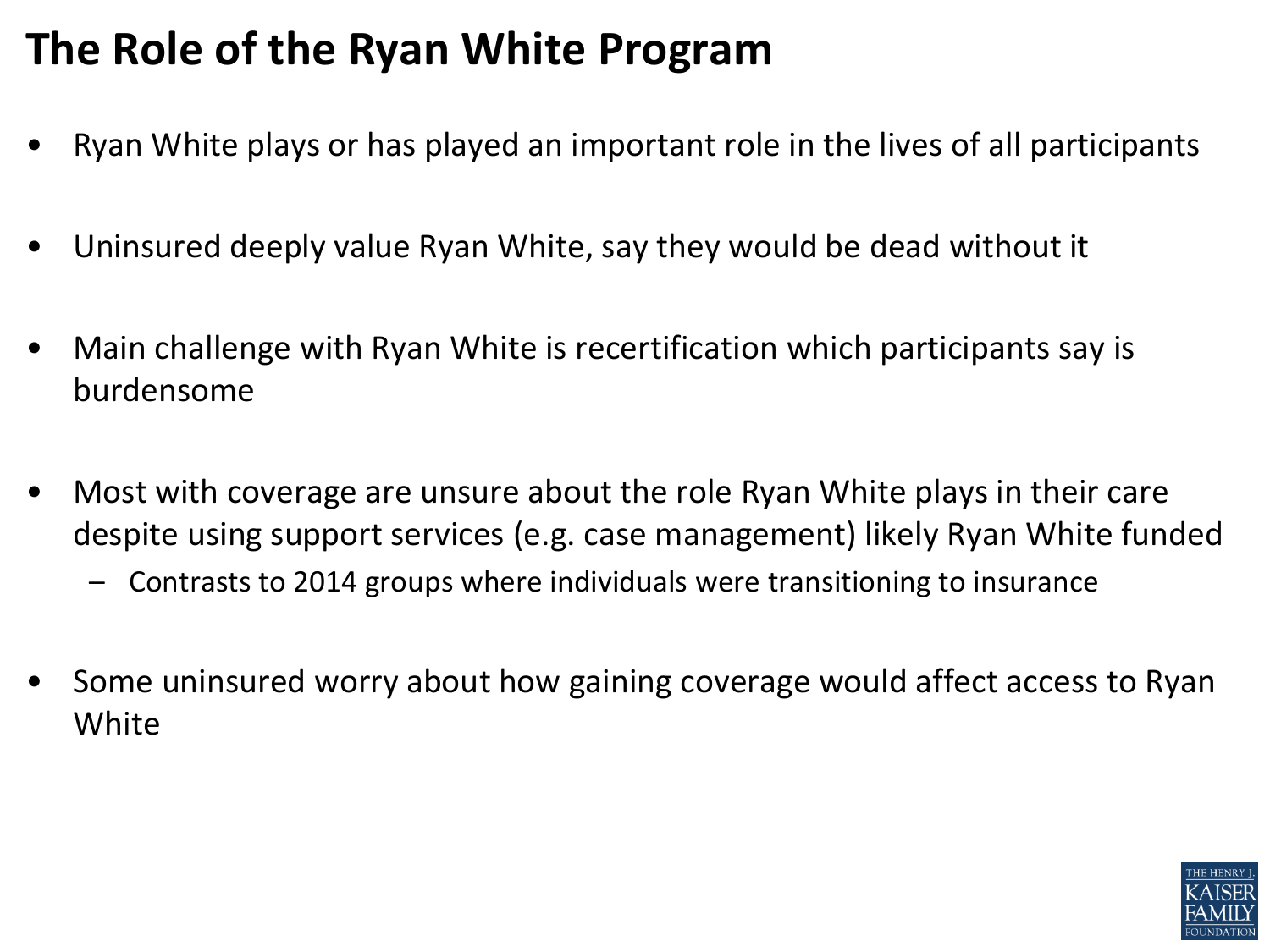### **The Role of the Ryan White Program**

- Ryan White plays or has played an important role in the lives of all participants
- Uninsured deeply value Ryan White, say they would be dead without it
- Main challenge with Ryan White is recertification which participants say is burdensome
- Most with coverage are unsure about the role Ryan White plays in their care despite using support services (e.g. case management) likely Ryan White funded
	- Contrasts to 2014 groups where individuals were transitioning to insurance
- Some uninsured worry about how gaining coverage would affect access to Ryan White

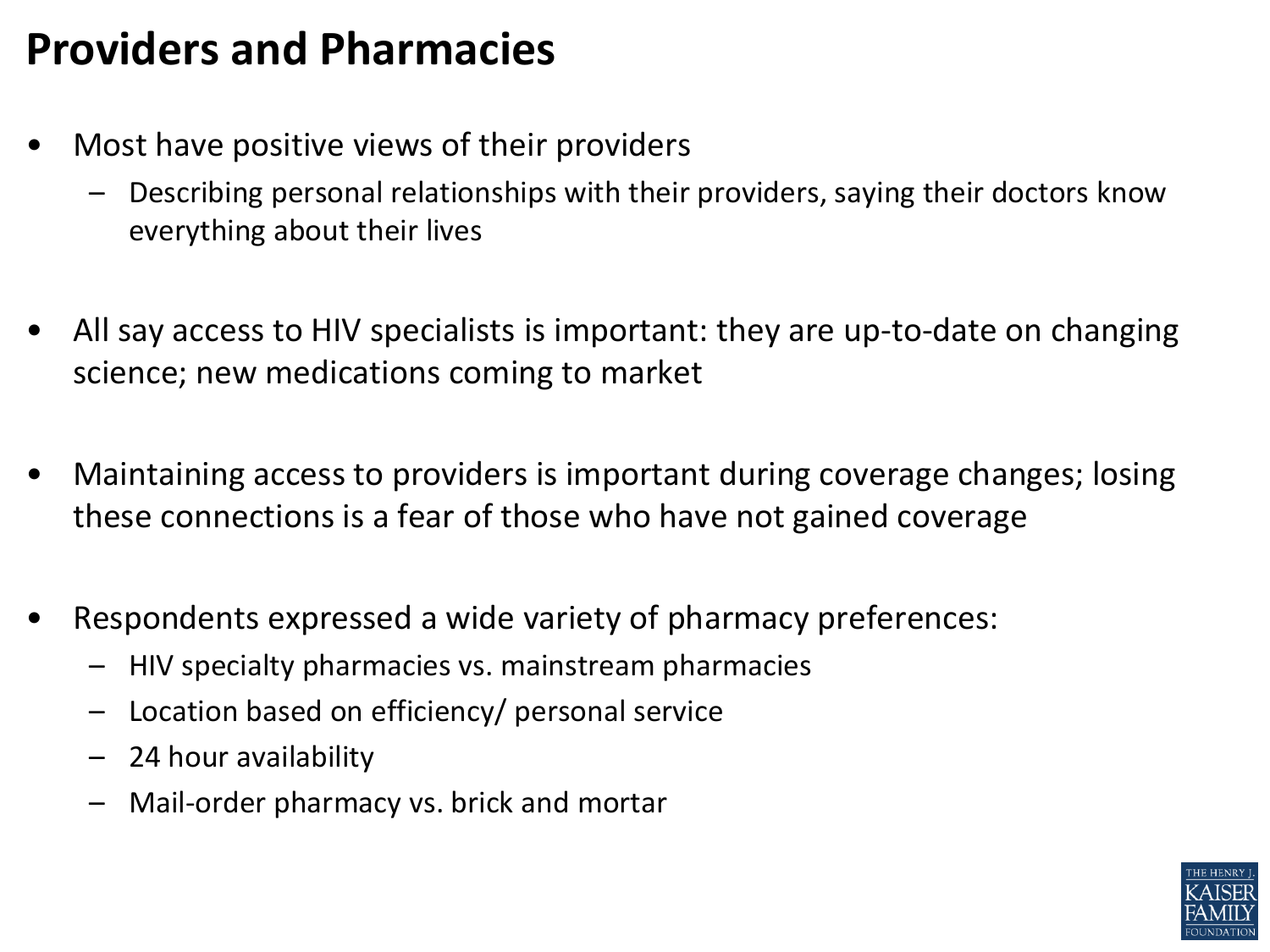#### **Providers and Pharmacies**

- Most have positive views of their providers
	- Describing personal relationships with their providers, saying their doctors know everything about their lives
- All say access to HIV specialists is important: they are up-to-date on changing science; new medications coming to market
- Maintaining access to providers is important during coverage changes; losing these connections is a fear of those who have not gained coverage
- Respondents expressed a wide variety of pharmacy preferences:
	- HIV specialty pharmacies vs. mainstream pharmacies
	- Location based on efficiency/ personal service
	- 24 hour availability
	- Mail-order pharmacy vs. brick and mortar

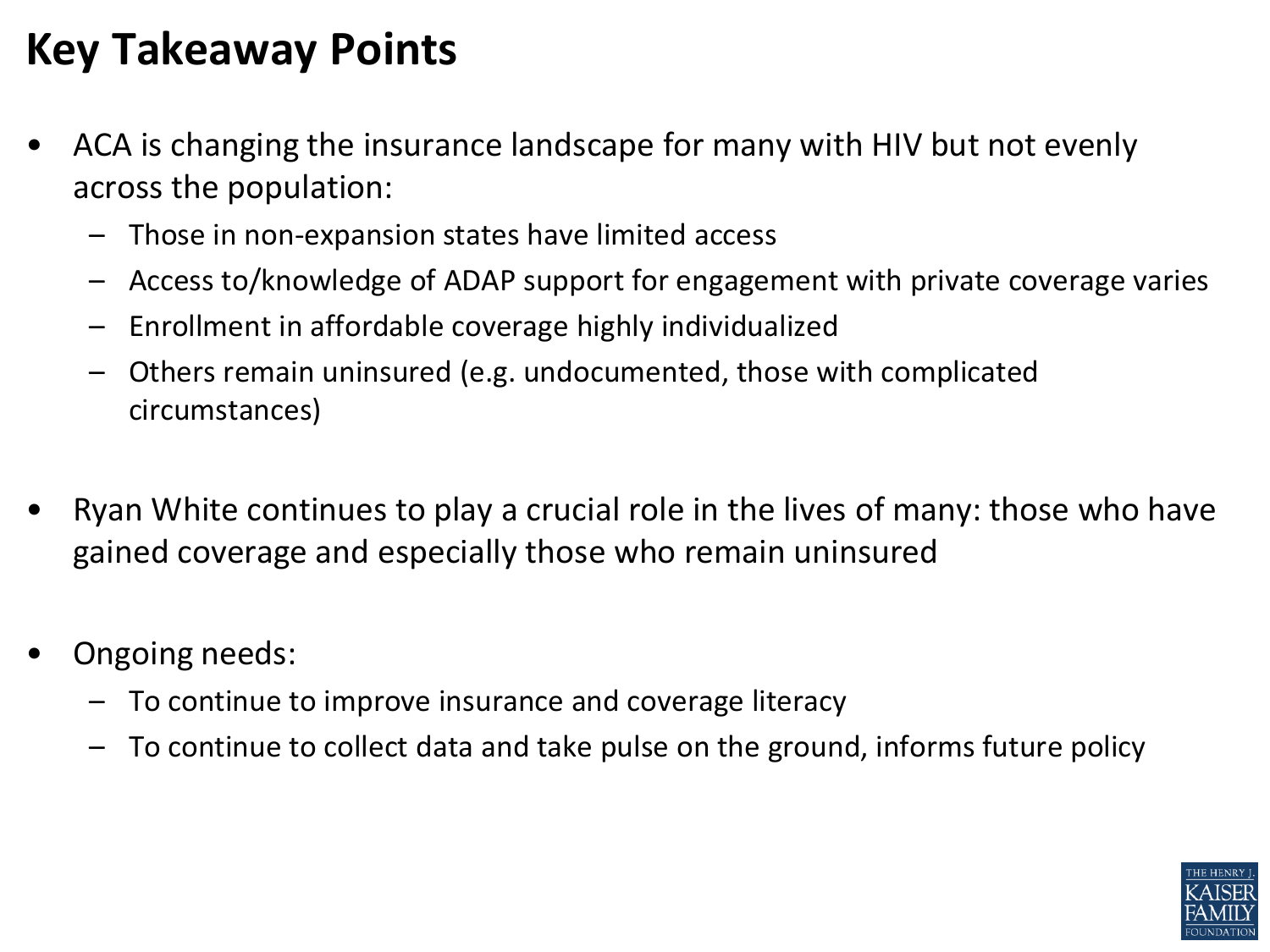### **Key Takeaway Points**

- ACA is changing the insurance landscape for many with HIV but not evenly across the population:
	- Those in non-expansion states have limited access
	- Access to/knowledge of ADAP support for engagement with private coverage varies
	- Enrollment in affordable coverage highly individualized
	- Others remain uninsured (e.g. undocumented, those with complicated circumstances)
- Ryan White continues to play a crucial role in the lives of many: those who have gained coverage and especially those who remain uninsured
- Ongoing needs:
	- To continue to improve insurance and coverage literacy
	- To continue to collect data and take pulse on the ground, informs future policy

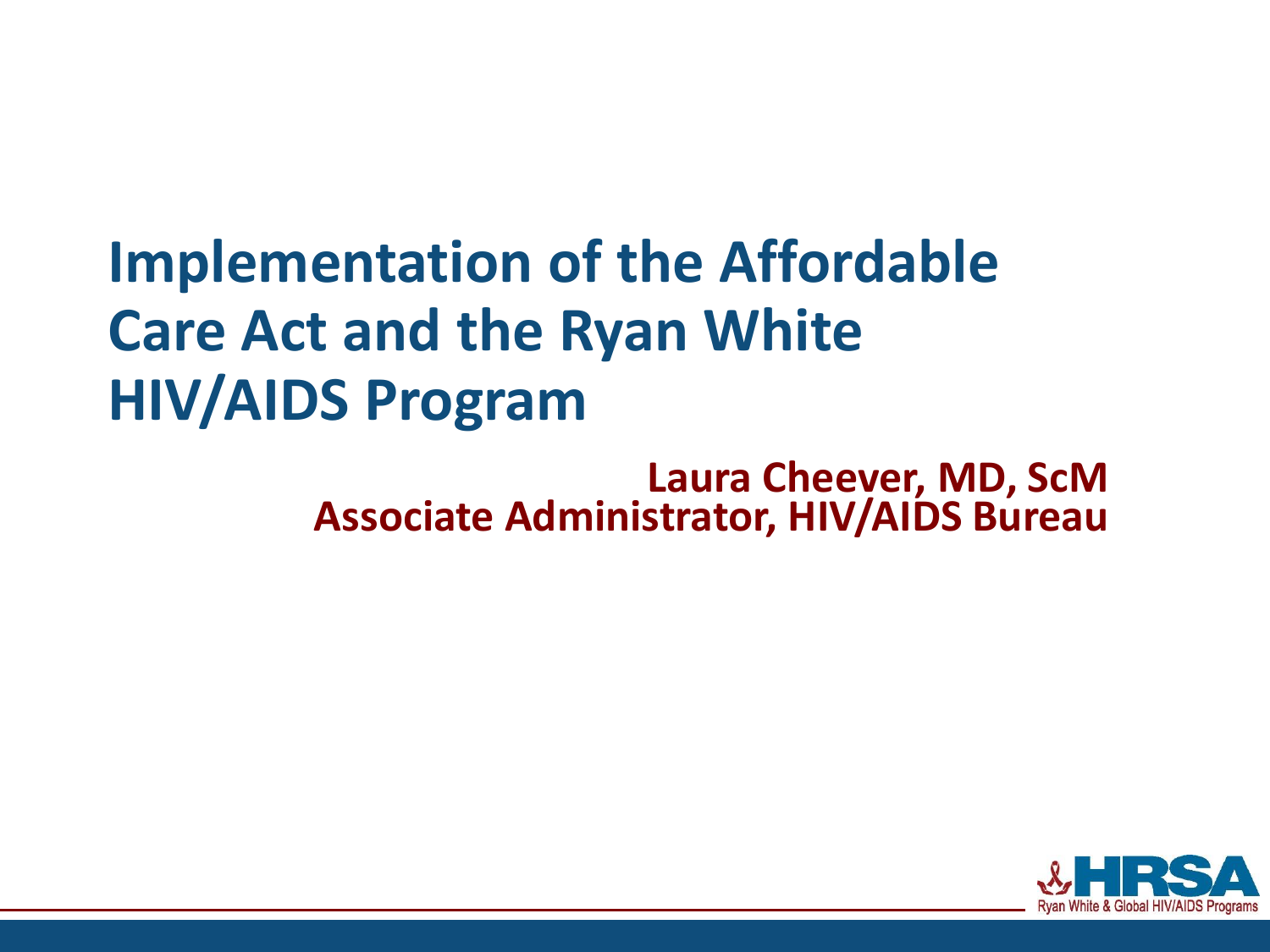# **Implementation of the Affordable Care Act and the Ryan White HIV/AIDS Program**

**Laura Cheever, MD, ScM Associate Administrator, HIV/AIDS Bureau**

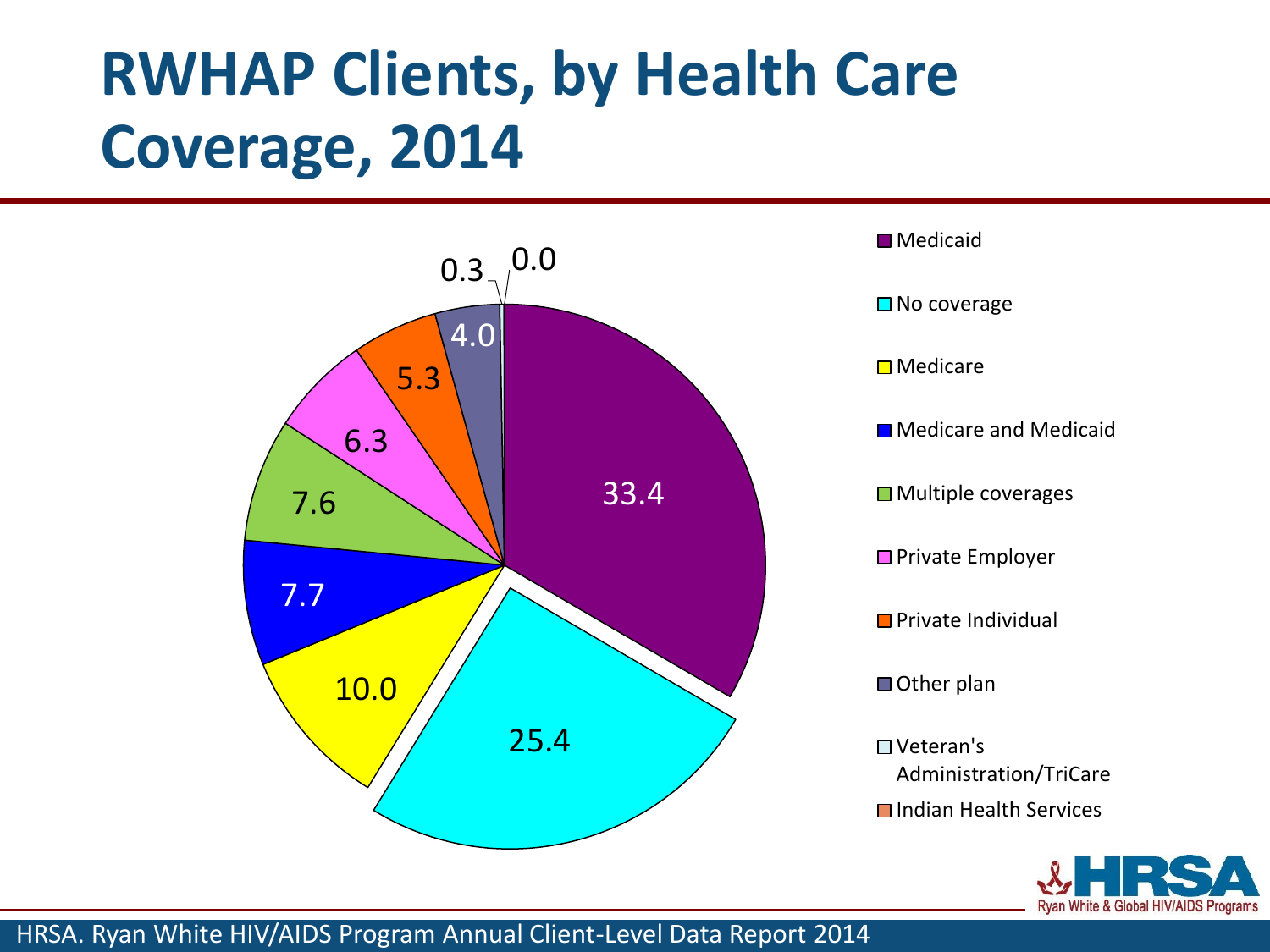# **RWHAP Clients, by Health Care Coverage, 2014**







HRSA. Ryan White HIV/AIDS Program Annual Client-Level Data Report 2014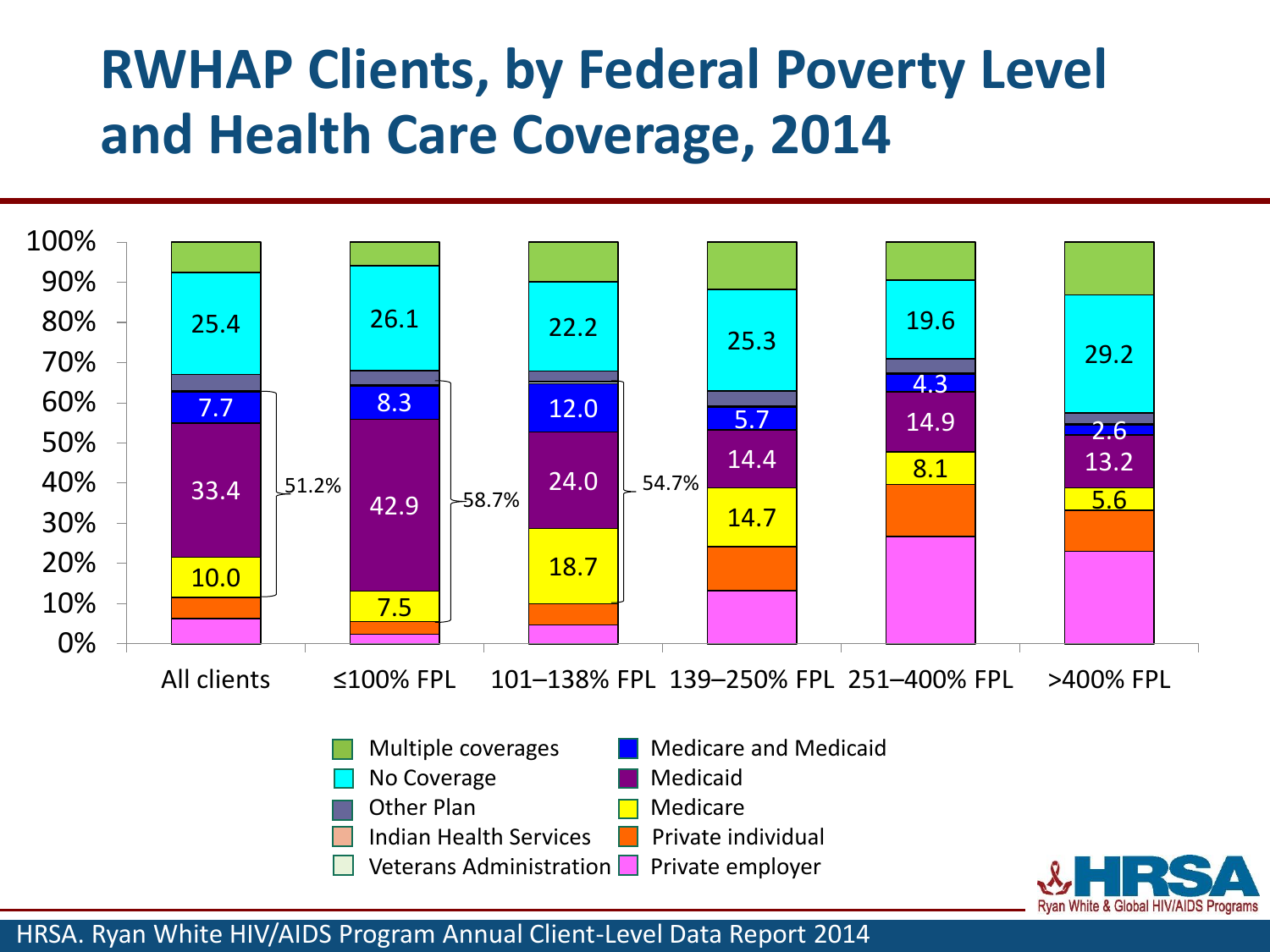## **RWHAP Clients, by Federal Poverty Level and Health Care Coverage, 2014**



HRSA. Ryan White HIV/AIDS Program Annual Client-Level Data Report 2014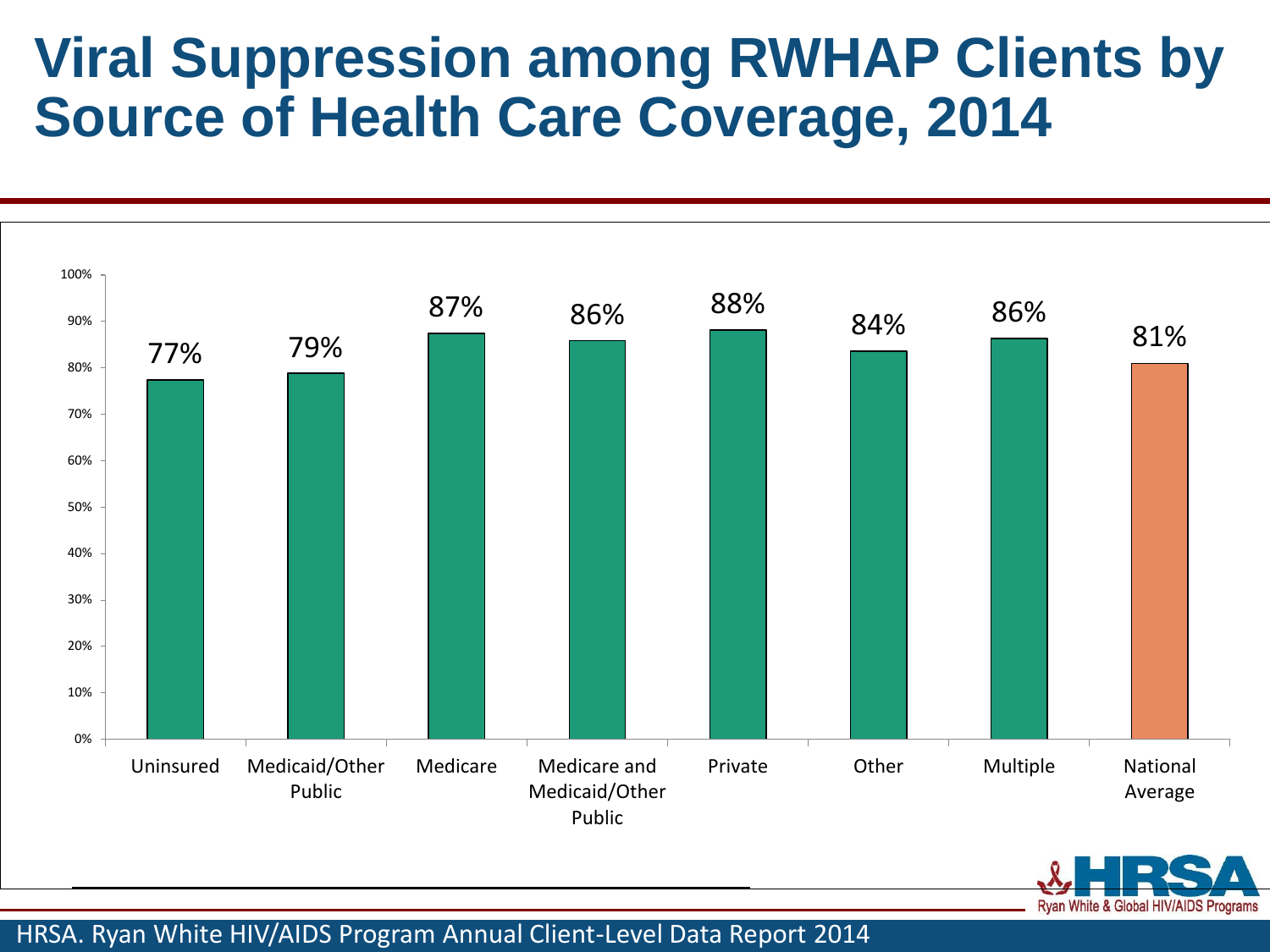## **Viral Suppression among RWHAP Clients by Source of Health Care Coverage, 2014**





HRSA. Ryan White HIV/AIDS Program Annual Client-Level Data Report 2014